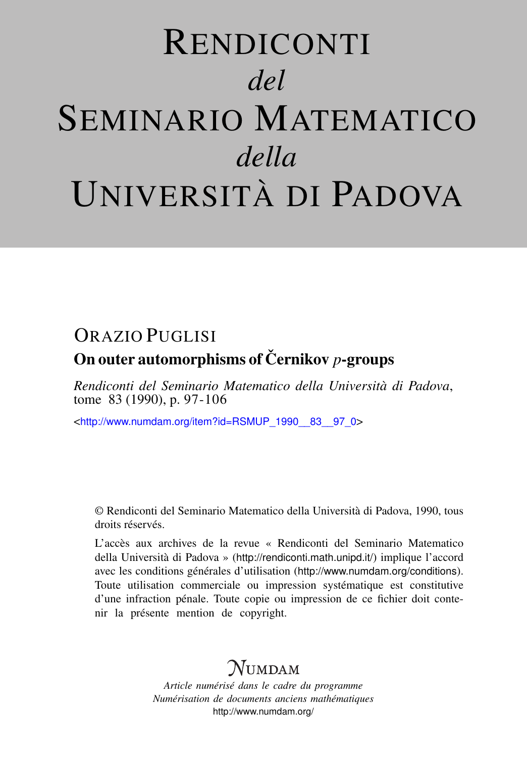# RENDICONTI *del* SEMINARIO MATEMATICO *della* UNIVERSITÀ DI PADOVA

## ORAZIO PUGLISI On outer automorphisms of Cernikov *p*-groups

*Rendiconti del Seminario Matematico della Università di Padova*, tome 83 (1990), p. 97-106

<[http://www.numdam.org/item?id=RSMUP\\_1990\\_\\_83\\_\\_97\\_0](http://www.numdam.org/item?id=RSMUP_1990__83__97_0)>

© Rendiconti del Seminario Matematico della Università di Padova, 1990, tous droits réservés.

L'accès aux archives de la revue « Rendiconti del Seminario Matematico della Università di Padova » (<http://rendiconti.math.unipd.it/>) implique l'accord avec les conditions générales d'utilisation (<http://www.numdam.org/conditions>). Toute utilisation commerciale ou impression systématique est constitutive d'une infraction pénale. Toute copie ou impression de ce fichier doit contenir la présente mention de copyright.

## $\mathcal N$ umdam

*Article numérisé dans le cadre du programme Numérisation de documents anciens mathématiques* <http://www.numdam.org/>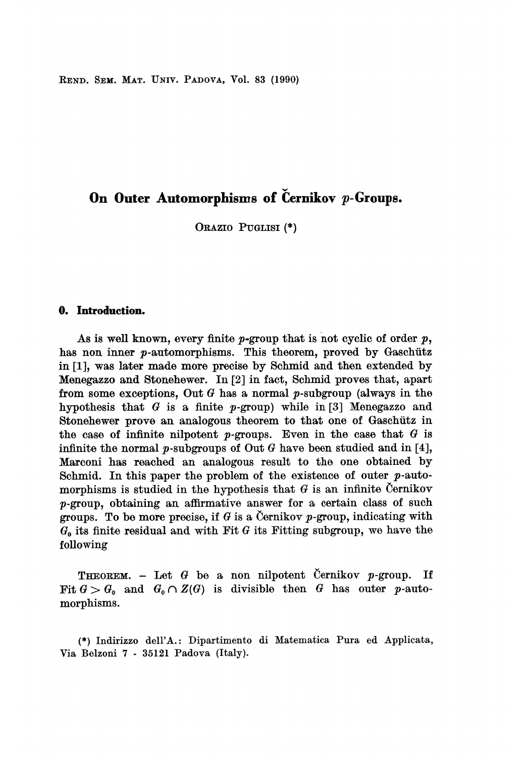REND. SEM. MAT. UNIV. PADOVA, Vol. 83 (1990)

### On Outer Automorphisms of Cernikov  $p$ -Groups.

ORAZIO PUGLISI (\*)

#### 0. Introduction.

As is well known, every finite  $p$ -group that is not cyclic of order  $p$ , has non inner  $p$ -automorphisms. This theorem, proved by Gaschütz in [1], was later made more precise by Schmid and then extended by Menegazzo and Stonehewer. In [2] in fact, Schmid proves that, apart from some exceptions, Out  $G$  has a normal  $p$ -subgroup (always in the hypothesis that  $G$  is a finite  $p$ -group) while in [3] Menegazzo and Stonehewer prove an analogous theorem to that one of Gaschütz in the case of infinite nilpotent p-groups. Even in the case that  $G$  is infinite the normal  $p$ -subgroups of Out  $G$  have been studied and in [4], Marconi has reached an analogous result to the one obtained by Schmid. In this paper the problem of the existence of outer  $p$ -automorphisms is studied in the hypothesis that  $G$  is an infinite Cernikov p-group, obtaining an affirmative answer for a certain class of such groups. To be more precise, if G is a Cernikov p-group, indicating with  $G<sub>o</sub>$  its finite residual and with Fit G its Fitting subgroup, we have the following

**THEOREM.** - Let G be a non nilpotent Cernikov p-group. If Fit  $G > G_0$  and  $G_0 \cap Z(G)$  is divisible then G has outer p-automorphisms.

(\*) Indirizzo dell'A.: Dipartimento di Matematica Pura ed Applicata, Via Belzoni 7 - 35121 Padova (Italy).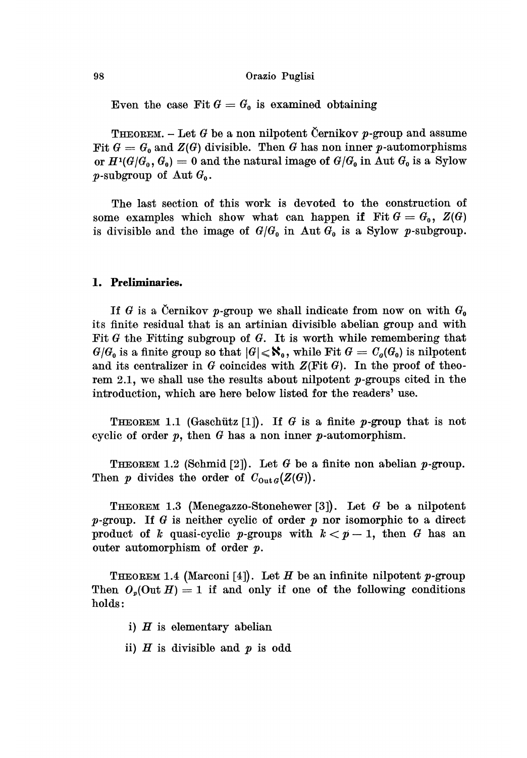#### Orazio Puglisi

Even the case Fit  $G = G_0$  is examined obtaining

THEOREM. – Let G be a non nilpotent Černikov p-group and assume<br>Fit  $G = G_0$  and  $Z(G)$  divisible. Then G has non inner p-automorphisms or  $H^1(G/G_0, G_0) = 0$  and the natural image of  $G/G_0$  in Aut  $G_0$  is a Sylow p-subgroup of Aut  $G_0$ .

The last section of this work is devoted to the construction of some examples which show what can happen if Fit  $G = G_0$ ,  $Z(G)$ is divisible and the image of  $G/G_0$  in Aut  $G_0$  is a Sylow p-subgroup.

#### 1. Preliminaries.

If G is a Cernikov p-group we shall indicate from now on with  $G_0$ its finite residual that is an artinian divisible abelian group and with Fit  $G$  the Fitting subgroup of  $G$ . It is worth while remembering that  $G/G_0$  is a finite group so that  $|G| \leqslant \aleph_0$ , while Fit  $G = C<sub>g</sub>(G_0)$  is nilpotent and its centralizer in  $G$  coincides with  $Z(\text{Fit } G)$ . In the proof of theorem 2.1, we shall use the results about nilpotent  $p$ -groups cited in the introduction, which are here below listed for the readers' use.

THEOREM 1.1 (Gaschütz [1]). If G is a finite p-group that is not cyclic of order  $p$ , then  $G$  has a non inner  $p$ -automorphism.

THEOREM 1.2 (Schmid [2]). Let G be a finite non abelian p-group. Then p divides the order of  $C_{\text{out }G}(Z(G)).$ 

THEOREM 1.3 (Menegazzo-Stonehewer [3]). Let G be a nilpotent  $p$ -group. If G is neither cyclic of order  $p$  nor isomorphic to a direct product of k quasi-cyclic p-groups with  $k < p - 1$ , then G has an outer automorphism of order p.

THEOREM 1.4 (Marconi [4]). Let H be an infinite nilpotent p-group Then  $O_p(\text{Out } H) = 1$  if and only if one of the following conditions holds:

- i)  $H$  is elementary abelian
- ii)  $H$  is divisible and  $p$  is odd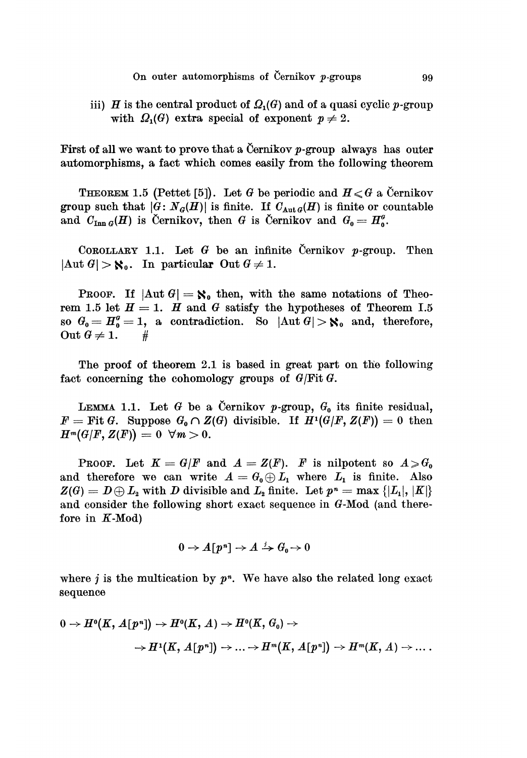iii) H is the central product of  $\Omega_1(G)$  and of a quasi cyclic p-group with  $\Omega_1(G)$  extra special of exponent  $p \neq 2$ .

First of all we want to prove that a Cernikov  $p$ -group always has outer automorphisms, a fact which comes easily from the following theorem

**THEOREM** 1.5 (Pettet [5]). Let G be periodic and  $H \le G$  a Cernikov group such that  $|G: N_G(H)|$  is finite. If  $C_{Aut G}(H)$  is finite or countable and  $C_{\text{Inn }G}(H)$  is Cernikov, then G is Cernikov and  $G_0 = H_0^g$ .

COROLLARY 1.1. Let  $G$  be an infinite Cernikov p-group. Then  $|\text{Aut } G| > \aleph_0$ . In particular Out  $G \neq 1$ .

PROOF. If  $|\text{Aut } G| = \aleph_0$  then, with the same notations of Theorem 1.5 let  $H = 1$ . H and G satisfy the hypotheses of Theorem I.5 so  $G_0 = H_0^{\sigma} = 1$ , a contradiction. So  $|\text{Aut } G| > \aleph_0$  and, therefore, Out  $G \neq 1$ . #

The proof of theorem 2.1 is based in great part on the following fact concerning the cohomology groups of  $G/Fit G$ .

LEMMA 1.1. Let G be a Cernikov p-group,  $G_0$  its finite residual,  $F = \text{Fit } G.$  Suppose  $G_0 \cap Z(G)$  divisible. If  $H^1(G/F, Z(F)) = 0$  then  $H^m(G/F, Z(F)) = 0 \ \ \forall m > 0.$ 

**PROOF.** Let  $K = G/F$  and  $A = Z(F)$ . F is nilpotent so  $A \geq G_0$ and therefore we can write  $A = G_0 \oplus L_1$  where  $L_1$  is finite. Also  $Z(G) = D \oplus L_2$  with D divisible and  $L_2$  finite. Let  $p^n = \max \{|L_1|, |K|\}$ and consider the following short exact sequence in G-Mod (and therefore in  $K$ -Mod)

$$
0 \to A\llbracket p^n \rrbracket \to A \xrightarrow{j} G_0 \to 0
$$

where j is the multication by  $p<sup>n</sup>$ . We have also the related long exact sequence

$$
\begin{aligned} 0\to H^o(K,\,A[\,p^n])\to H^o(K,\,A)\to H^o(K,\,G_\mathfrak{o})\to \\ \to H^1(K,\,A[\,p^n])\to \ldots \to H^m(K,\,A[\,p^n])\to H^m(K,\,A)\to\ldots\,. \end{aligned}
$$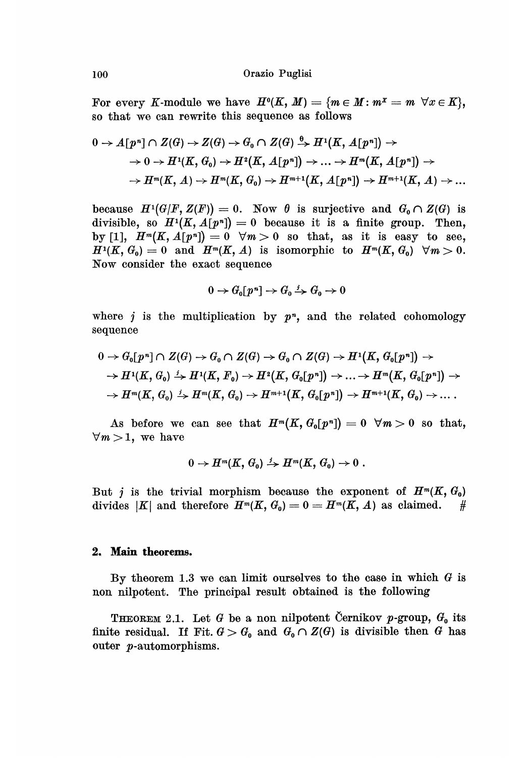For every K-module we have  $H^0(K, M) = \{m \in M : m^x = m \ \forall x \in K\},\$  so that we can rewrite this sequence as follows

$$
\begin{aligned} 0\to A\llbracket p^{\,n}\rrbracket\cap Z(\mathcal{G})\to Z(\mathcal{G})\to G_{\tt^0}\cap Z(\mathcal{G})\xrightarrow{\tt^0\to} H^1(K,\,A\llbracket p^{\,n}\rrbracket)\to\\ \to 0\to H^1(K,\,G_{\tt^0})\to H^2(K,\,A\llbracket p^{\,n}\rrbracket)\to\ldots\to H^m(K,\,A\llbracket p^{\,n}\rrbracket)\to\\ \to H^m(K,\,A)\to H^m(K,\,G_{\tt^0})\to H^{m+1}(K,\,A\llbracket p^{\,n}\rrbracket)\to H^{m+1}(K,\,A)\to\ldots\end{aligned}
$$

because  $H^1(G/F, Z(F)) = 0$ . Now  $\theta$  is surjective and  $G_0 \cap Z(G)$  is divisible, so  $H^1(K, A[p^n]) = 0$  because it is a finite group. Then, by [1],  $H^m(K, A[p^n]) = 0 \quad \forall m > 0$  so that, as it is easy to see,  $H^1(K, G_0) = 0$  and  $H^m(K, A)$  is isomorphic to  $H^m(K, G_0)$   $\forall m > 0$ . Now consider the exact sequence

$$
0 \to G_0[p^n] \to G_0 \xrightarrow{j} G_0 \to 0
$$

where j is the multiplication by  $p<sup>n</sup>$ , and the related cohomology sequence

$$
0 \to G_0[p^n] \cap Z(G) \to G_0 \cap Z(G) \to G_0 \cap Z(G) \to H^1(K, G_0[p^n]) \to
$$
  
\n
$$
\to H^1(K, G_0) \xrightarrow{i} H^1(K, F_0) \to H^2(K, G_0[p^n]) \to \dots \to H^m(K, G_0[p^n]) \to
$$
  
\n
$$
\to H^m(K, G_0) \xrightarrow{i} H^m(K, G_0) \to H^{m+1}(K, G_0[p^n]) \to H^{m+1}(K, G_0) \to \dots.
$$

As before we can see that  $H^m(K, G_0[p^n]) = 0 \ \forall m > 0$  so that,  $\forall m > 1$ , we have

$$
0 \to H^m(K, G_0) \xrightarrow{j} H^m(K, G_0) \to 0.
$$

But j is the trivial morphism because the exponent of  $H^m(K, G_0)$ divides |K| and therefore  $H^m(K, G_0) = 0 = H^m(K, A)$  as claimed. #

#### 2. Main theorems.

By theorem 1.3 we can limit ourselves to the case in which  $G$  is non nilpotent. The principal result obtained is the following

THEOREM 2.1. Let G be a non nilpotent Cernikov p-group,  $G_0$  its finite residual. If Fit.  $G > G_0$  and  $G_0 \cap Z(G)$  is divisible then G has outer p-automorphisms.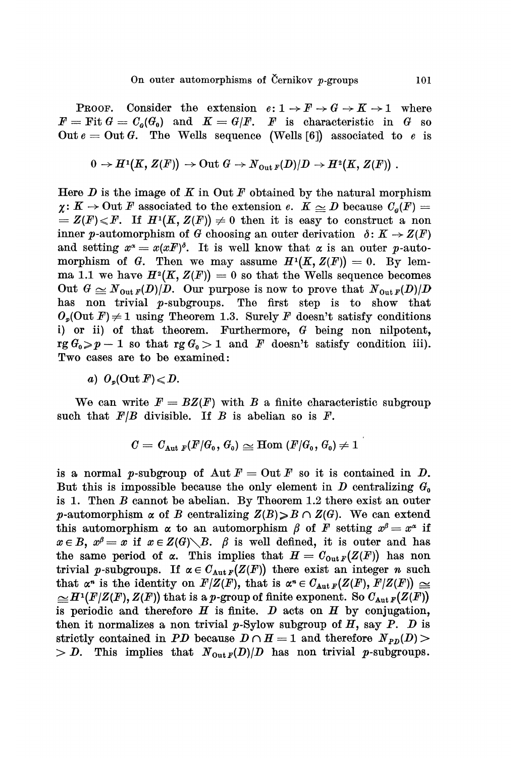**PROOF.** Consider the extension  $e: 1 \rightarrow F \rightarrow G \rightarrow K \rightarrow 1$  where  $F = \text{Fit } G = C_{\rho}(G_{0})$  and  $K = G/F$ . *F* is characteristic in G so Out  $e = 0$ ut G. The Wells sequence (Wells [6]) associated to e is

$$
0 \to H^1(K, Z(F)) \to \text{Out } G \to N_{\text{Out } F}(D)/D \to H^2(K, Z(F)) \ .
$$

Here  $D$  is the image of  $K$  in Out  $F$  obtained by the natural morphism  $\chi: K \to \text{Out } F$  associated to the extension e.  $K \simeq D$  because  $C_q(F) =$  $= Z(F) \leq F$ . If  $H^1(K, Z(F)) \neq 0$  then it is easy to construct a non inner p-automorphism of G choosing an outer derivation  $\delta: K \to Z(F)$ and setting  $x^{\alpha} = x(xF)^{\delta}$ . It is well know that  $\alpha$  is an outer p-automorphism of G. Then we may assume  $H^1(K, Z(F)) = 0$ . By lemma 1.1 we have  $H^2(K, Z(F)) = 0$  so that the Wells sequence becomes Out  $G \simeq N_{\text{Out }F}(D)/D$ . Our purpose is now to prove that  $N_{\text{Out }F}(D)/D$ has non trivial p-subgroups. The first step is to show that  $O_p(\text{Out } F) \neq 1$  using Theorem 1.3. Surely F doesn't satisfy conditions i) or ii) of that theorem. Furthermore, G being non nilpotent,  $rg G_0 > p - 1$  so that  $rg G_0 > 1$  and F doesn't satisfy condition iii). Two cases are to be examined:

a)  $O_p(\text{Out } F) \leqslant D$ .

We can write  $F = BZ(F)$  with B a finite characteristic subgroup such that  $F/B$  divisible. If B is abelian so is F.

$$
C=C_{\mathrm{Aut}\ F}(F/G_{\mathfrak 0},\,G_{\mathfrak 0})\cong \mathrm{Hom}\ (F/G_{\mathfrak 0},\,G_{\mathfrak 0})\neq 1
$$

is a normal p-subgroup of Aut  $F = 0$ ut F so it is contained in D. But this is impossible because the only element in  $D$  centralizing  $G_0$ is 1. Then B cannot be abelian. By Theorem 1.2 there exist an outer p-automorphism  $\alpha$  of B centralizing  $Z(B) \ge B \cap Z(G)$ . We can extend this automorphism  $\alpha$  to an automorphism  $\beta$  of F setting  $x^{\beta} = x^{\alpha}$  if  $x \in B$ ,  $x^{\beta} = x$  if  $x \in Z(G) \setminus B$ .  $\beta$  is well defined, it is outer and has the same period of  $\alpha$ . This implies that  $H = C_{\text{Out }F}(Z(F))$  has non trivial p-subgroups. If  $\alpha \in C_{\text{Aut }F}(Z(F))$  there exist an integer n such that  $\alpha^n$  is the identity on  $F/Z(F)$ , that is  $\alpha^n \in C_{\text{Aut }F}(Z(F), F/Z(F)) \cong$  $\cong H^1(F/Z(F), Z(F))$  that is a p-group of finite exponent. So  $C_{Aut\,F}(Z(F))$ is periodic and therefore  $H$  is finite.  $D$  acts on  $H$  by conjugation, then it normalizes a non trivial  $p$ -Sylow subgroup of  $H$ , say  $P$ .  $D$  is strictly contained in PD because  $D \cap H = 1$  and therefore  $N_{PD}(D)$  $> D$ . This implies that  $N_{\text{Out }F}(D)/D$  has non trivial p-subgroups.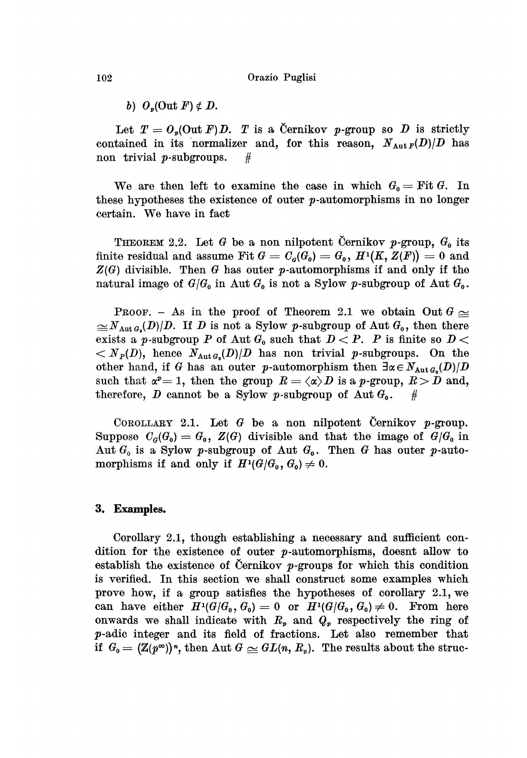b)  $O_n(\text{Out } F) \notin D$ .

Let  $T = O_p(\text{Out } F)D$ . T is a Cernikov p-group so D is strictly contained in its normalizer and, for this reason,  $N_{Aut F}(D)/D$  has non trivial *p*-subgroups.  $#$ 

We are then left to examine the case in which  $G_0 = \text{Fit } G$ . In these hypotheses the existence of outer  $p$ -automorphisms in no longer certain. We have in fact

THEOREM 2.2. Let G be a non nilpotent Cernikov p-group,  $G_0$  its finite residual and assume Fit  $G = C_q(G_0) = G_0$ ,  $H^1(K, Z(F)) = 0$  and  $Z(G)$  divisible. Then G has outer p-automorphisms if and only if the natural image of  $G/G_0$  in Aut  $G_0$  is not a Sylow p-subgroup of Aut  $G_0$ .

PROOF. - As in the proof of Theorem 2.1 we obtain Out  $G \simeq$  $\leq N_{\text{Aut }G_0}(D)/D$ . If D is not a Sylow p-subgroup of Aut  $G_0$ , then there exists a p-subgroup P of Aut  $G_0$  such that  $D < P$ . P is finite so  $D <$  $\langle N_P(D), \rangle$  hence  $N_{\text{Aut }G_0}(D)/D$  has non trivial p-subgroups. On the other hand, if G has an outer p-automorphism then  $\exists \alpha \in N_{\text{Aut }G_{\alpha}}(D)/D$ such that  $\alpha^p = 1$ , then the group  $R = \langle \alpha \rangle D$  is a p-group,  $R > D$  and, therefore, D cannot be a Sylow p-subgroup of  $\text{Aut } G_0$ . #

COROLLARY 2.1. Let  $G$  be a non nilpotent Cernikov p-group. Suppose  $C_{\sigma}(G_0) = G_0$ ,  $Z(G)$  divisible and that the image of  $G/G_0$  in Aut  $G_0$  is a Sylow p-subgroup of Aut  $G_0$ . Then G has outer p-automorphisms if and only if  $H^1(\mathcal{G}/\mathcal{G}_0, \mathcal{G}_0) \neq 0$ .

#### 3. Examples.

Corollary 2.1, though establishing a necessary and sufficient condition for the existence of outer  $p$ -automorphisms, doesnt allow to establish the existence of Cernikov  $p$ -groups for which this condition is verified. In this section we shall construct some examples which prove how, if a group satisfies the hypotheses of corollary 2.1, we can have either  $H^1(G/G_0, G_0) = 0$  or  $H^1(G/G_0, G_0) \neq 0$ . From here onwards we shall indicate with  $R_p$  and  $Q_p$  respectively the ring of p-adic integer and its field of fractions. Let also remember that if  $G_0 = (\mathbb{Z}(p^{\infty}))^n$ , then Aut  $G \simeq GL(n, R_p)$ . The results about the struc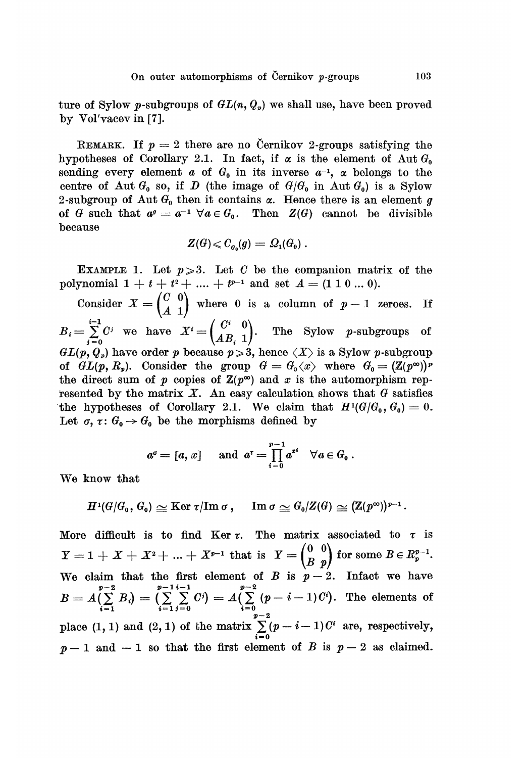ture of Sylow p-subgroups of  $GL(n, Q_p)$  we shall use, have been proved by Vol'vacev in  $[7]$ .

REMARK. If  $p = 2$  there are no Cernikov 2-groups satisfying the hypotheses of Corollary 2.1. In fact, if  $\alpha$  is the element of Aut  $G_0$ sending every element a of  $G_0$  in its inverse  $a^{-1}$ ,  $\alpha$  belongs to the centre of Aut  $G_0$  so, if D (the image of  $G/G_0$  in Aut  $G_0$ ) is a Sylow 2-subgroup of Aut  $G_0$  then it contains  $\alpha$ . Hence there is an element g of G such that  $a^g = a^{-1} \ \forall a \in G_0$ . Then  $Z(G)$  cannot be divisible because

$$
Z(G) \leqslant C_{\mathfrak{g}_a}(g) = \Omega_1(G_0) \; .
$$

EXAMPLE 1. Let  $p \ge 3$ . Let C be the companion matrix of the polynomial  $1 + t + t^2 + \ldots + t^{p-1}$  and set  $A = (1 \ 1 \ 0 \ldots 0).$ 

 $\begin{pmatrix} 0 & 0 \\ A & 1 \end{pmatrix}$  where 0 is a column of  $p-1$  zeroes. If we have  $X^i = \begin{pmatrix} 0 & 0 \\ AB & 1 \end{pmatrix}$ . The Sylow p-subgroups of  $GL(p, Q_p)$  have order p because  $p \ge 3$ , hence  $\langle X \rangle$  is a Sylow p-subgroup of  $GL(p, R_p)$ . Consider the group  $G = G_0 \langle x \rangle$  where  $G_0 = (\mathbb{Z}(p^{\infty}))^p$ the direct sum of p copies of  $\mathbb{Z}(p^{\infty})$  and x is the automorphism represented by the matrix  $X$ . An easy calculation shows that  $G$  satisfies the hypotheses of Corollary 2.1. We claim that  $H^1(G/G_0, G_0) = 0$ . Let  $\sigma, \tau \colon G_0 \to G_0$  be the morphisms defined by

$$
a^{\sigma} = [a, x] \quad \text{ and } a^{\tau} = \prod_{i=0}^{p-1} a^{\sigma i} \quad \forall a \in G_0.
$$

We know that

$$
H^1(G/G_0,\,G_0)\cong {\rm Ker} \ \tau/{\rm Im} \ \sigma\,,\quad \ {\rm Im} \ \sigma\cong G_0/Z(G)\cong ({\rm Z}(p^\infty))^{p-1}\,.
$$

More difficult is to find Ker  $\tau$ . The matrix associated to  $\tau$  is  $Y = 1 + X + X^2 + \ldots + X^{p-1}$  that is  $Y = \begin{pmatrix} 0 & 0 \\ B & p \end{pmatrix}$  for some  $B \in R_p^{p-1}$ . We claim that the first element of  $B$  is  $p-2$ . Infact we have The elements of place (1, 1) and (2, 1) of the matrix  $\sum_{i=0}^{p-2} (p-i-1)C^i$  are, respectively,  $p-1$  and  $-1$  so that the first element of B is  $p-2$  as claimed.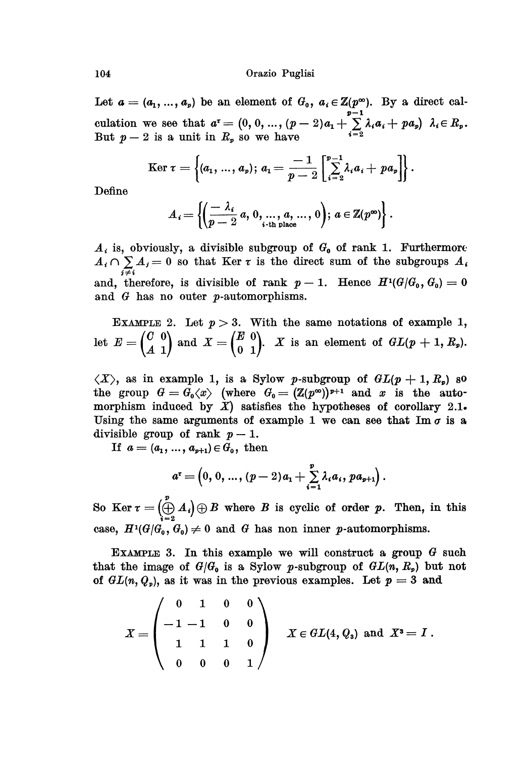#### Orazio Puglisi

Let  $a = (a_1, ..., a_p)$  be an element of  $G_0$ ,  $a_i \in \mathbb{Z}(p^\infty)$ . By a direct calculation we see that But  $p-2$  is a unit in  $R_p$  so we have

Ker 
$$
\tau = \left\{ (a_1, ..., a_p); a_1 = \frac{-1}{p-2} \left[ \sum_{i=2}^{p-1} \lambda_i a_i + p a_p \right] \right\}.
$$

Define

$$
A_i = \left\{ \left( \frac{-\lambda_i}{p-2} a, 0, \dots, a, \dots, 0 \right); a \in \mathbb{Z}(p^{\infty}) \right\}.
$$

 $A_i$  is, obviously, a divisible subgroup of  $G_0$  of rank 1. Furthermore  $A_i \cap \sum_{j \neq i} A_j = 0$  so that Ker  $\tau$  is the direct sum of the subgroups  $A_i$ and, therefore, is divisible of rank  $p-1$ . Hence  $H^1(G/G_0, G_0) = 0$ and G has no outer p-automorphisms.

EXAMPLE 2. Let  $p > 3$ . With the same notations of example 1, let  $E = \begin{pmatrix} C & 0 \\ A & 1 \end{pmatrix}$  and  $X = \begin{pmatrix} E & 0 \\ 0 & 1 \end{pmatrix}$ . X is an element of  $GL(p + 1, R_p)$ .

 $\langle X \rangle$ , as in example 1, is a Sylow p-subgroup of  $GL(p+1, R_p)$  so the group  $G = G_0 \langle x \rangle$  (where  $G_0 = (\mathbb{Z}(p^{\infty}))^{p+1}$  and x is the automorphism induced by  $\dot{X}$ ) satisfies the hypotheses of corollary 2.1. Using the same arguments of example 1 we can see that Im  $\sigma$  is a divisible group of rank  $p-1$ .

If  $a = (a_1, ..., a_{p+1}) \in G_0$ , then

$$
a^{\tau} = \left(0, 0, ..., (p-2)a_1 + \sum_{i=1}^{p} \lambda_i a_i, pa_{p+1}\right).
$$

So Ker  $\tau = \left(\bigoplus_{i=2}^{p} A_i\right) \oplus B$  where B is cyclic of order p. Then, in this case,  $H^1(G/G_0, G_0) \neq 0$  and G has non inner p-automorphisms.

EXAMPLE 3. In this example we will construct a group  $G$  such that the image of  $G/G_0$  is a Sylow p-subgroup of  $GL(n, R_p)$  but not of  $GL(n, Q_p)$ , as it was in the previous examples. Let  $p = 3$  and

$$
X=\begin{pmatrix}0&1&0&0\\-1&-1&0&0\\1&1&1&0\\0&0&0&1\end{pmatrix}\quad X\in GL(4,\,Q_{\mathfrak{z}})\ \, \text{and}\ \, X^{\mathfrak{z}}=I\;.
$$

104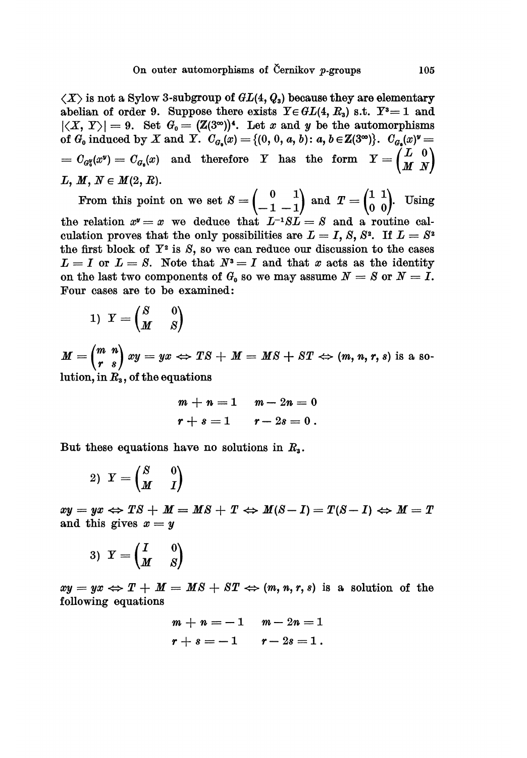$\langle X \rangle$  is not a Sylow 3-subgroup of  $GL(4, Q_3)$  because they are elementary abelian of order 9. Suppose there exists  $Y \in GL(4, R_3)$  s.t.  $Y^3 = 1$  and  $|\langle X, Y \rangle| = 9$ . Set  $G_0 = (\mathbb{Z}(3^{\infty}))^4$ . Let x and y be the automorphisms of  $G_0$  induced by X and Y.  $C_{G_0}(x) = \{(0, 0, a, b) : a, b \in \mathbb{Z}(3^{\infty})\}$ .  $C_{G_0}(x)^y =$  $C_{G_0}(x^y) = C_{G_0}(x)$  and therefore Y has the form  $Y = \begin{pmatrix} L & 0 \ M & N \end{pmatrix}$ <br>  $L, M, N \in M(2, R).$ 

From this point on we set  $S = \begin{pmatrix} 0 & 1 \\ -1 & -1 \end{pmatrix}$  and  $T = \begin{pmatrix} 1 & 1 \\ 0 & 0 \end{pmatrix}$ . Using the relation  $x^y = x$  we deduce that  $L^{-1}SL = S$  and a routine calculation proves that the only possibilities are  $L = I$ , S, S<sup>2</sup>. If  $L = S^2$ the first block of  $Y^2$  is  $S$ , so we can reduce our discussion to the cases  $L = I$  or  $L = S$ . Note that  $N^3 = I$  and that x acts as the identity on the last two components of  $G_0$  so we may assume  $N = S$  or  $N = I$ . Four cases are to be examined:

$$
1) \ \ Y = \begin{pmatrix} S & 0 \\ M & S \end{pmatrix}
$$

 $M = \begin{pmatrix} m & n \\ r & s \end{pmatrix} xy = yx \Leftrightarrow TS + M = MS + ST \Leftrightarrow (m, n, r, s)$  is a solution, in  $R_{\rm s}$ , of the equations

$$
m + n = 1
$$
  $m - 2n = 0$   
 $r + s = 1$   $r - 2s = 0$ .

But these equations have no solutions in  $R_a$ .

$$
2) Y = \begin{pmatrix} S & 0 \\ M & I \end{pmatrix}
$$

 $xy = yx \Leftrightarrow TS + M = MS + T \Leftrightarrow M(S - I) = T(S - I) \Leftrightarrow M = T$ and this gives  $x = y$ 

$$
3) \ \ Y = \begin{pmatrix} I & 0 \\ M & S \end{pmatrix}
$$

 $xy = yx \Leftrightarrow T + M = MS + ST \Leftrightarrow (m, n, r, s)$  is a solution of the following equations

> $m + n = -1$   $m - 2n = 1$  $r + s = -1$   $r - 2s = 1$ .